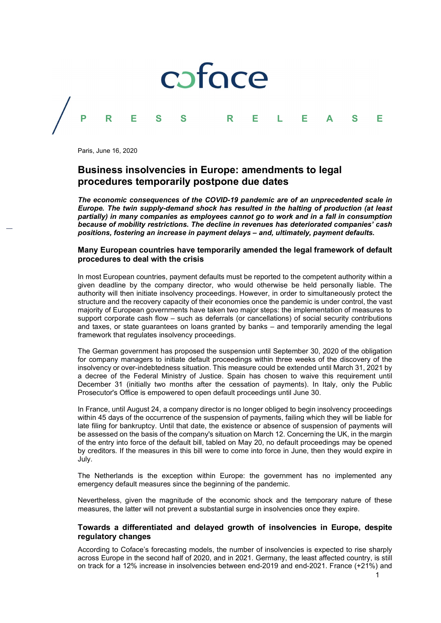

Paris, June 16, 2020

# Business insolvencies in Europe: amendments to legal procedures temporarily postpone due dates

The economic consequences of the COVID-19 pandemic are of an unprecedented scale in Europe. The twin supply-demand shock has resulted in the halting of production (at least partially) in many companies as employees cannot go to work and in a fall in consumption because of mobility restrictions. The decline in revenues has deteriorated companies' cash positions, fostering an increase in payment delays – and, ultimately, payment defaults.

## Many European countries have temporarily amended the legal framework of default procedures to deal with the crisis

In most European countries, payment defaults must be reported to the competent authority within a given deadline by the company director, who would otherwise be held personally liable. The authority will then initiate insolvency proceedings. However, in order to simultaneously protect the structure and the recovery capacity of their economies once the pandemic is under control, the vast majority of European governments have taken two major steps: the implementation of measures to support corporate cash flow – such as deferrals (or cancellations) of social security contributions and taxes, or state guarantees on loans granted by banks – and temporarily amending the legal framework that regulates insolvency proceedings.

The German government has proposed the suspension until September 30, 2020 of the obligation for company managers to initiate default proceedings within three weeks of the discovery of the insolvency or over-indebtedness situation. This measure could be extended until March 31, 2021 by a decree of the Federal Ministry of Justice. Spain has chosen to waive this requirement until December 31 (initially two months after the cessation of payments). In Italy, only the Public Prosecutor's Office is empowered to open default proceedings until June 30.

In France, until August 24, a company director is no longer obliged to begin insolvency proceedings within 45 days of the occurrence of the suspension of payments, failing which they will be liable for late filing for bankruptcy. Until that date, the existence or absence of suspension of payments will be assessed on the basis of the company's situation on March 12. Concerning the UK, in the margin of the entry into force of the default bill, tabled on May 20, no default proceedings may be opened by creditors. If the measures in this bill were to come into force in June, then they would expire in July.

The Netherlands is the exception within Europe: the government has no implemented any emergency default measures since the beginning of the pandemic.

Nevertheless, given the magnitude of the economic shock and the temporary nature of these measures, the latter will not prevent a substantial surge in insolvencies once they expire.

### Towards a differentiated and delayed growth of insolvencies in Europe, despite regulatory changes

According to Coface's forecasting models, the number of insolvencies is expected to rise sharply across Europe in the second half of 2020, and in 2021. Germany, the least affected country, is still on track for a 12% increase in insolvencies between end-2019 and end-2021. France (+21%) and

 $1$